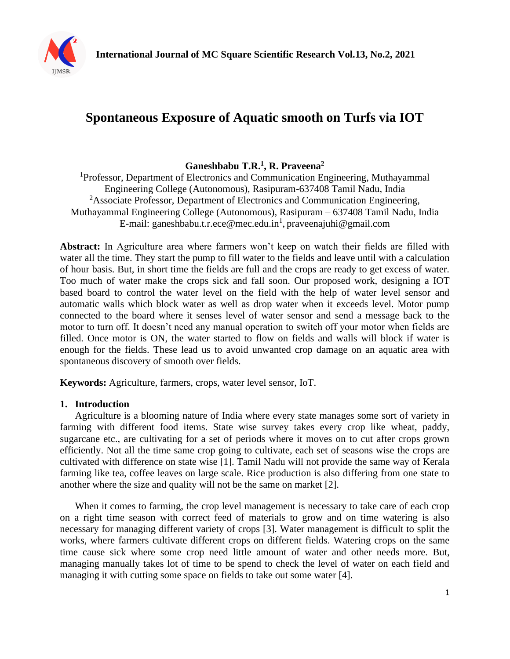

# **Spontaneous Exposure of Aquatic smooth on Turfs via IOT**

## **Ganeshbabu T.R.<sup>1</sup> , R. Praveena<sup>2</sup>**

<sup>1</sup>Professor, Department of Electronics and Communication Engineering, Muthayammal Engineering College (Autonomous), Rasipuram-637408 Tamil Nadu, India <sup>2</sup>Associate Professor, Department of Electronics and Communication Engineering, Muthayammal Engineering College (Autonomous), Rasipuram – 637408 Tamil Nadu, India E-mail: ganeshbabu.t.r.ece@mec.edu.in<sup>1</sup>, praveenajuhi@gmail.com

**Abstract:** In Agriculture area where farmers won't keep on watch their fields are filled with water all the time. They start the pump to fill water to the fields and leave until with a calculation of hour basis. But, in short time the fields are full and the crops are ready to get excess of water. Too much of water make the crops sick and fall soon. Our proposed work, designing a IOT based board to control the water level on the field with the help of water level sensor and automatic walls which block water as well as drop water when it exceeds level. Motor pump connected to the board where it senses level of water sensor and send a message back to the motor to turn off. It doesn't need any manual operation to switch off your motor when fields are filled. Once motor is ON, the water started to flow on fields and walls will block if water is enough for the fields. These lead us to avoid unwanted crop damage on an aquatic area with spontaneous discovery of smooth over fields.

**Keywords:** Agriculture, farmers, crops, water level sensor, IoT.

#### **1. Introduction**

Agriculture is a blooming nature of India where every state manages some sort of variety in farming with different food items. State wise survey takes every crop like wheat, paddy, sugarcane etc., are cultivating for a set of periods where it moves on to cut after crops grown efficiently. Not all the time same crop going to cultivate, each set of seasons wise the crops are cultivated with difference on state wise [1]. Tamil Nadu will not provide the same way of Kerala farming like tea, coffee leaves on large scale. Rice production is also differing from one state to another where the size and quality will not be the same on market [2].

When it comes to farming, the crop level management is necessary to take care of each crop on a right time season with correct feed of materials to grow and on time watering is also necessary for managing different variety of crops [3]. Water management is difficult to split the works, where farmers cultivate different crops on different fields. Watering crops on the same time cause sick where some crop need little amount of water and other needs more. But, managing manually takes lot of time to be spend to check the level of water on each field and managing it with cutting some space on fields to take out some water [4].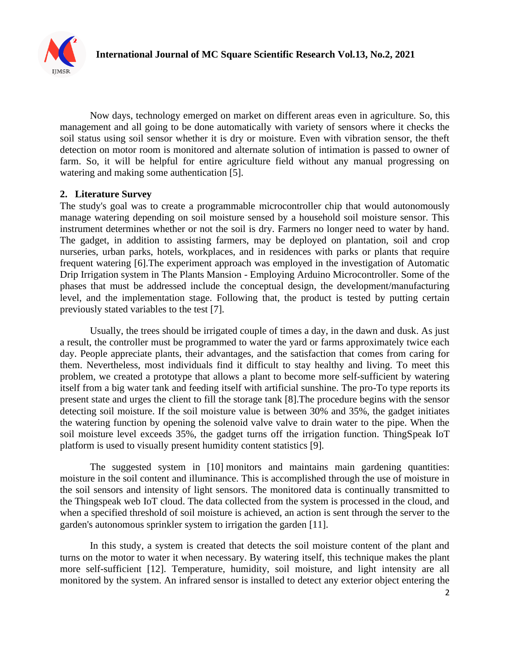

Now days, technology emerged on market on different areas even in agriculture. So, this management and all going to be done automatically with variety of sensors where it checks the soil status using soil sensor whether it is dry or moisture. Even with vibration sensor, the theft detection on motor room is monitored and alternate solution of intimation is passed to owner of farm. So, it will be helpful for entire agriculture field without any manual progressing on watering and making some authentication [5].

### **2. Literature Survey**

The study's goal was to create a programmable microcontroller chip that would autonomously manage watering depending on soil moisture sensed by a household soil moisture sensor. This instrument determines whether or not the soil is dry. Farmers no longer need to water by hand. The gadget, in addition to assisting farmers, may be deployed on plantation, soil and crop nurseries, urban parks, hotels, workplaces, and in residences with parks or plants that require frequent watering [6].The experiment approach was employed in the investigation of Automatic Drip Irrigation system in The Plants Mansion - Employing Arduino Microcontroller. Some of the phases that must be addressed include the conceptual design, the development/manufacturing level, and the implementation stage. Following that, the product is tested by putting certain previously stated variables to the test [7].

Usually, the trees should be irrigated couple of times a day, in the dawn and dusk. As just a result, the controller must be programmed to water the yard or farms approximately twice each day. People appreciate plants, their advantages, and the satisfaction that comes from caring for them. Nevertheless, most individuals find it difficult to stay healthy and living. To meet this problem, we created a prototype that allows a plant to become more self-sufficient by watering itself from a big water tank and feeding itself with artificial sunshine. The pro-To type reports its present state and urges the client to fill the storage tank [8].The procedure begins with the sensor detecting soil moisture. If the soil moisture value is between 30% and 35%, the gadget initiates the watering function by opening the solenoid valve valve to drain water to the pipe. When the soil moisture level exceeds 35%, the gadget turns off the irrigation function. ThingSpeak IoT platform is used to visually present humidity content statistics [9].

The suggested system in [10] monitors and maintains main gardening quantities: moisture in the soil content and illuminance. This is accomplished through the use of moisture in the soil sensors and intensity of light sensors. The monitored data is continually transmitted to the Thingspeak web IoT cloud. The data collected from the system is processed in the cloud, and when a specified threshold of soil moisture is achieved, an action is sent through the server to the garden's autonomous sprinkler system to irrigation the garden [11].

In this study, a system is created that detects the soil moisture content of the plant and turns on the motor to water it when necessary. By watering itself, this technique makes the plant more self-sufficient [12]. Temperature, humidity, soil moisture, and light intensity are all monitored by the system. An infrared sensor is installed to detect any exterior object entering the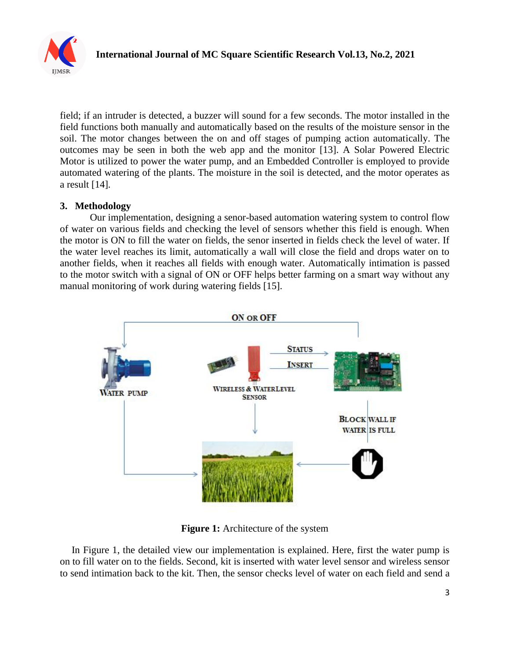

field; if an intruder is detected, a buzzer will sound for a few seconds. The motor installed in the field functions both manually and automatically based on the results of the moisture sensor in the soil. The motor changes between the on and off stages of pumping action automatically. The outcomes may be seen in both the web app and the monitor [13]. A Solar Powered Electric Motor is utilized to power the water pump, and an Embedded Controller is employed to provide automated watering of the plants. The moisture in the soil is detected, and the motor operates as a result [14].

### **3. Methodology**

Our implementation, designing a senor-based automation watering system to control flow of water on various fields and checking the level of sensors whether this field is enough. When the motor is ON to fill the water on fields, the senor inserted in fields check the level of water. If the water level reaches its limit, automatically a wall will close the field and drops water on to another fields, when it reaches all fields with enough water. Automatically intimation is passed to the motor switch with a signal of ON or OFF helps better farming on a smart way without any manual monitoring of work during watering fields [15].



**Figure 1:** Architecture of the system

In Figure 1, the detailed view our implementation is explained. Here, first the water pump is on to fill water on to the fields. Second, kit is inserted with water level sensor and wireless sensor to send intimation back to the kit. Then, the sensor checks level of water on each field and send a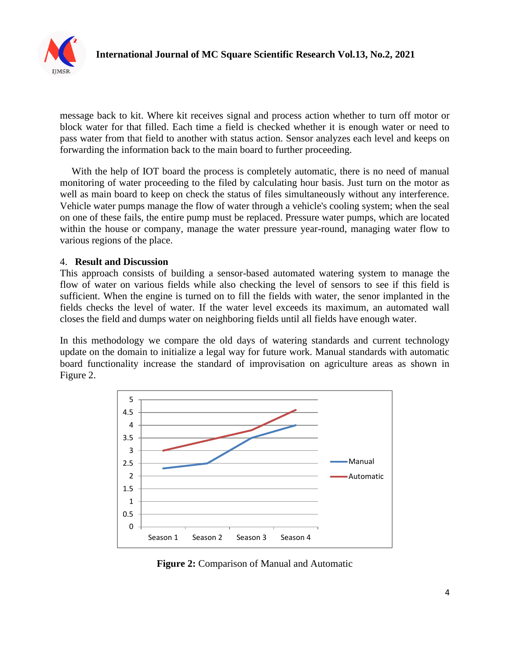

message back to kit. Where kit receives signal and process action whether to turn off motor or block water for that filled. Each time a field is checked whether it is enough water or need to pass water from that field to another with status action. Sensor analyzes each level and keeps on forwarding the information back to the main board to further proceeding.

With the help of IOT board the process is completely automatic, there is no need of manual monitoring of water proceeding to the filed by calculating hour basis. Just turn on the motor as well as main board to keep on check the status of files simultaneously without any interference. Vehicle water pumps manage the flow of water through a vehicle's cooling system; when the seal on one of these fails, the entire pump must be replaced. Pressure water pumps, which are located within the house or company, manage the water pressure year-round, managing water flow to various regions of the place.

#### 4. **Result and Discussion**

This approach consists of building a sensor-based automated watering system to manage the flow of water on various fields while also checking the level of sensors to see if this field is sufficient. When the engine is turned on to fill the fields with water, the senor implanted in the fields checks the level of water. If the water level exceeds its maximum, an automated wall closes the field and dumps water on neighboring fields until all fields have enough water.

In this methodology we compare the old days of watering standards and current technology update on the domain to initialize a legal way for future work. Manual standards with automatic board functionality increase the standard of improvisation on agriculture areas as shown in Figure 2.



**Figure 2:** Comparison of Manual and Automatic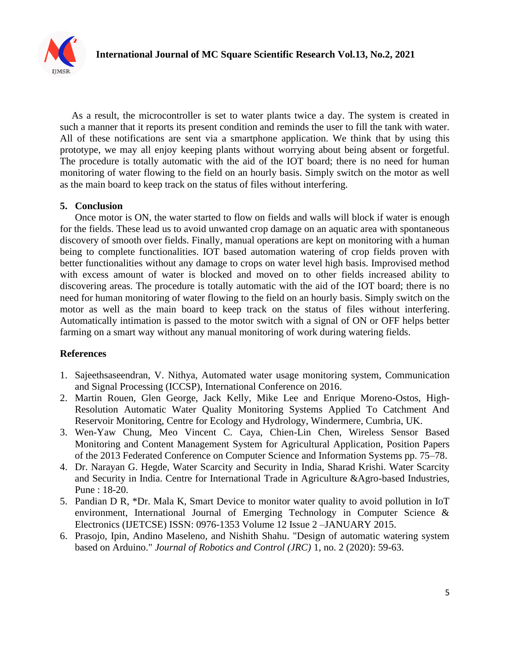

As a result, the microcontroller is set to water plants twice a day. The system is created in such a manner that it reports its present condition and reminds the user to fill the tank with water. All of these notifications are sent via a smartphone application. We think that by using this prototype, we may all enjoy keeping plants without worrying about being absent or forgetful. The procedure is totally automatic with the aid of the IOT board; there is no need for human monitoring of water flowing to the field on an hourly basis. Simply switch on the motor as well as the main board to keep track on the status of files without interfering.

### **5. Conclusion**

Once motor is ON, the water started to flow on fields and walls will block if water is enough for the fields. These lead us to avoid unwanted crop damage on an aquatic area with spontaneous discovery of smooth over fields. Finally, manual operations are kept on monitoring with a human being to complete functionalities. IOT based automation watering of crop fields proven with better functionalities without any damage to crops on water level high basis. Improvised method with excess amount of water is blocked and moved on to other fields increased ability to discovering areas. The procedure is totally automatic with the aid of the IOT board; there is no need for human monitoring of water flowing to the field on an hourly basis. Simply switch on the motor as well as the main board to keep track on the status of files without interfering. Automatically intimation is passed to the motor switch with a signal of ON or OFF helps better farming on a smart way without any manual monitoring of work during watering fields.

### **References**

- 1. Sajeethsaseendran, V. Nithya, Automated water usage monitoring system, Communication and Signal Processing (ICCSP), International Conference on 2016.
- 2. Martin Rouen, Glen George, Jack Kelly, Mike Lee and Enrique Moreno-Ostos, High-Resolution Automatic Water Quality Monitoring Systems Applied To Catchment And Reservoir Monitoring, Centre for Ecology and Hydrology, Windermere, Cumbria, UK.
- 3. Wen-Yaw Chung, Meo Vincent C. Caya, Chien-Lin Chen, Wireless Sensor Based Monitoring and Content Management System for Agricultural Application, Position Papers of the 2013 Federated Conference on Computer Science and Information Systems pp. 75–78.
- 4. Dr. Narayan G. Hegde, Water Scarcity and Security in India, Sharad Krishi. Water Scarcity and Security in India. Centre for International Trade in Agriculture &Agro-based Industries, Pune : 18-20.
- 5. Pandian D R, \*Dr. Mala K, Smart Device to monitor water quality to avoid pollution in IoT environment, International Journal of Emerging Technology in Computer Science & Electronics (IJETCSE) ISSN: 0976-1353 Volume 12 Issue 2 –JANUARY 2015.
- 6. Prasojo, Ipin, Andino Maseleno, and Nishith Shahu. "Design of automatic watering system based on Arduino." *Journal of Robotics and Control (JRC)* 1, no. 2 (2020): 59-63.